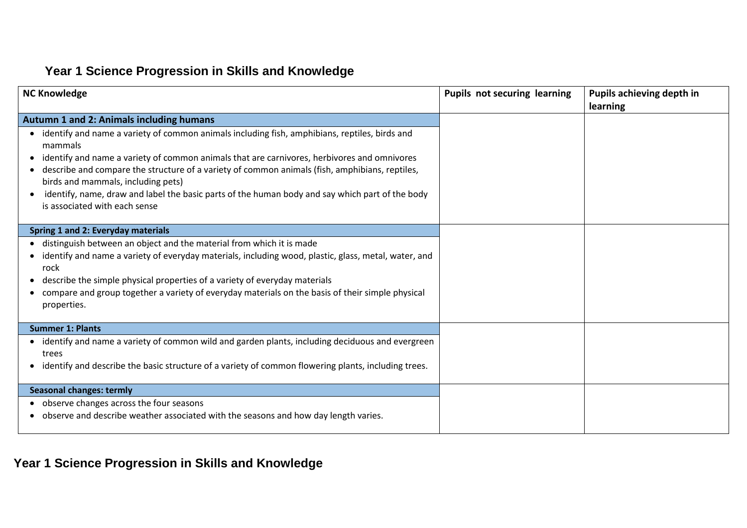#### **Year 1 Science Progression in Skills and Knowledge**

| <b>NC Knowledge</b>                                                                                                                                                                                                                                                                                                                                                                                                                                                                   | <b>Pupils not securing learning</b> | Pupils achieving depth in<br>learning |
|---------------------------------------------------------------------------------------------------------------------------------------------------------------------------------------------------------------------------------------------------------------------------------------------------------------------------------------------------------------------------------------------------------------------------------------------------------------------------------------|-------------------------------------|---------------------------------------|
| Autumn 1 and 2: Animals including humans                                                                                                                                                                                                                                                                                                                                                                                                                                              |                                     |                                       |
| identify and name a variety of common animals including fish, amphibians, reptiles, birds and<br>mammals<br>identify and name a variety of common animals that are carnivores, herbivores and omnivores<br>• describe and compare the structure of a variety of common animals (fish, amphibians, reptiles,<br>birds and mammals, including pets)<br>identify, name, draw and label the basic parts of the human body and say which part of the body<br>is associated with each sense |                                     |                                       |
| Spring 1 and 2: Everyday materials                                                                                                                                                                                                                                                                                                                                                                                                                                                    |                                     |                                       |
| • distinguish between an object and the material from which it is made<br>identify and name a variety of everyday materials, including wood, plastic, glass, metal, water, and<br>rock<br>describe the simple physical properties of a variety of everyday materials<br>compare and group together a variety of everyday materials on the basis of their simple physical<br>properties.                                                                                               |                                     |                                       |
| <b>Summer 1: Plants</b>                                                                                                                                                                                                                                                                                                                                                                                                                                                               |                                     |                                       |
| • identify and name a variety of common wild and garden plants, including deciduous and evergreen<br>trees<br>identify and describe the basic structure of a variety of common flowering plants, including trees.<br>$\bullet$                                                                                                                                                                                                                                                        |                                     |                                       |
| <b>Seasonal changes: termly</b>                                                                                                                                                                                                                                                                                                                                                                                                                                                       |                                     |                                       |
| observe changes across the four seasons<br>• observe and describe weather associated with the seasons and how day length varies.                                                                                                                                                                                                                                                                                                                                                      |                                     |                                       |

**Year 1 Science Progression in Skills and Knowledge**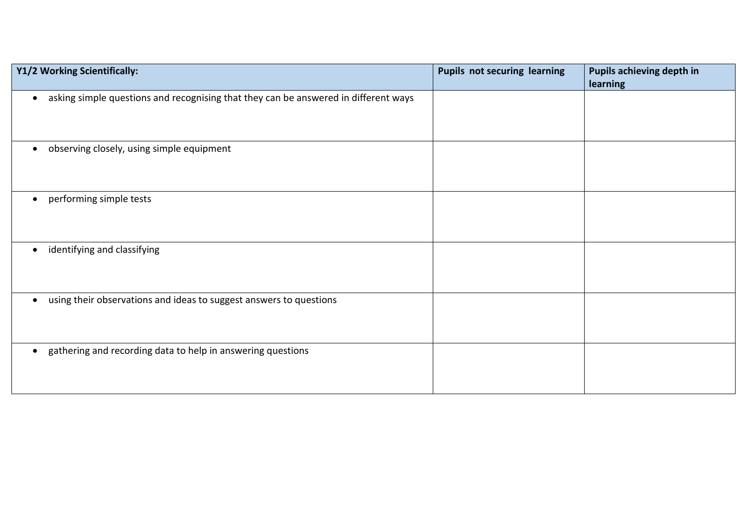| Y1/2 Working Scientifically:                                                                     | <b>Pupils not securing learning</b> | Pupils achieving depth in<br>learning |
|--------------------------------------------------------------------------------------------------|-------------------------------------|---------------------------------------|
| asking simple questions and recognising that they can be answered in different ways<br>$\bullet$ |                                     |                                       |
| observing closely, using simple equipment<br>$\bullet$                                           |                                     |                                       |
| performing simple tests<br>$\bullet$                                                             |                                     |                                       |
| identifying and classifying<br>$\bullet$                                                         |                                     |                                       |
| using their observations and ideas to suggest answers to questions<br>$\bullet$                  |                                     |                                       |
| gathering and recording data to help in answering questions<br>$\bullet$                         |                                     |                                       |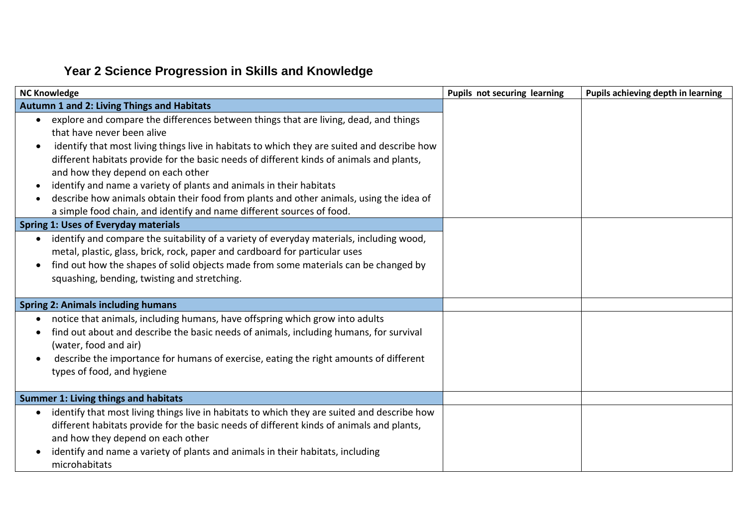# **Year 2 Science Progression in Skills and Knowledge**

| <b>NC Knowledge</b>                                                                                                                                                                                                                                                                                                                                                                                                                                                                                                                                                                                        | Pupils not securing learning | Pupils achieving depth in learning |
|------------------------------------------------------------------------------------------------------------------------------------------------------------------------------------------------------------------------------------------------------------------------------------------------------------------------------------------------------------------------------------------------------------------------------------------------------------------------------------------------------------------------------------------------------------------------------------------------------------|------------------------------|------------------------------------|
| Autumn 1 and 2: Living Things and Habitats                                                                                                                                                                                                                                                                                                                                                                                                                                                                                                                                                                 |                              |                                    |
| explore and compare the differences between things that are living, dead, and things<br>$\bullet$<br>that have never been alive<br>identify that most living things live in habitats to which they are suited and describe how<br>different habitats provide for the basic needs of different kinds of animals and plants,<br>and how they depend on each other<br>identify and name a variety of plants and animals in their habitats<br>describe how animals obtain their food from plants and other animals, using the idea of<br>a simple food chain, and identify and name different sources of food. |                              |                                    |
| <b>Spring 1: Uses of Everyday materials</b>                                                                                                                                                                                                                                                                                                                                                                                                                                                                                                                                                                |                              |                                    |
| identify and compare the suitability of a variety of everyday materials, including wood,<br>$\bullet$<br>metal, plastic, glass, brick, rock, paper and cardboard for particular uses<br>find out how the shapes of solid objects made from some materials can be changed by<br>squashing, bending, twisting and stretching.                                                                                                                                                                                                                                                                                |                              |                                    |
| <b>Spring 2: Animals including humans</b>                                                                                                                                                                                                                                                                                                                                                                                                                                                                                                                                                                  |                              |                                    |
| notice that animals, including humans, have offspring which grow into adults<br>find out about and describe the basic needs of animals, including humans, for survival<br>(water, food and air)<br>describe the importance for humans of exercise, eating the right amounts of different<br>types of food, and hygiene                                                                                                                                                                                                                                                                                     |                              |                                    |
| <b>Summer 1: Living things and habitats</b>                                                                                                                                                                                                                                                                                                                                                                                                                                                                                                                                                                |                              |                                    |
| identify that most living things live in habitats to which they are suited and describe how<br>$\bullet$<br>different habitats provide for the basic needs of different kinds of animals and plants,<br>and how they depend on each other<br>identify and name a variety of plants and animals in their habitats, including<br>microhabitats                                                                                                                                                                                                                                                               |                              |                                    |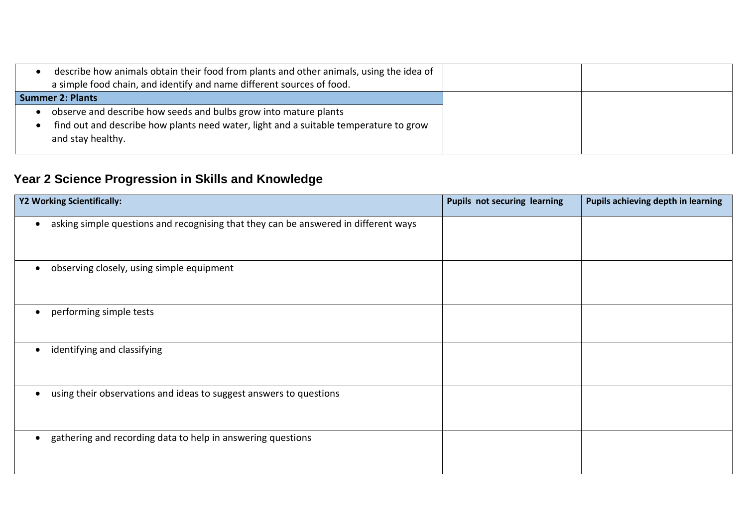| describe how animals obtain their food from plants and other animals, using the idea of<br>a simple food chain, and identify and name different sources of food.               |  |
|--------------------------------------------------------------------------------------------------------------------------------------------------------------------------------|--|
| <b>Summer 2: Plants</b>                                                                                                                                                        |  |
| observe and describe how seeds and bulbs grow into mature plants<br>find out and describe how plants need water, light and a suitable temperature to grow<br>and stay healthy. |  |

# **Year 2 Science Progression in Skills and Knowledge**

| Y2 Working Scientifically:                                                                       | Pupils not securing learning | Pupils achieving depth in learning |
|--------------------------------------------------------------------------------------------------|------------------------------|------------------------------------|
| asking simple questions and recognising that they can be answered in different ways<br>$\bullet$ |                              |                                    |
| observing closely, using simple equipment<br>$\bullet$                                           |                              |                                    |
| performing simple tests<br>$\bullet$                                                             |                              |                                    |
| identifying and classifying<br>$\bullet$                                                         |                              |                                    |
| using their observations and ideas to suggest answers to questions<br>$\bullet$                  |                              |                                    |
| gathering and recording data to help in answering questions<br>$\bullet$                         |                              |                                    |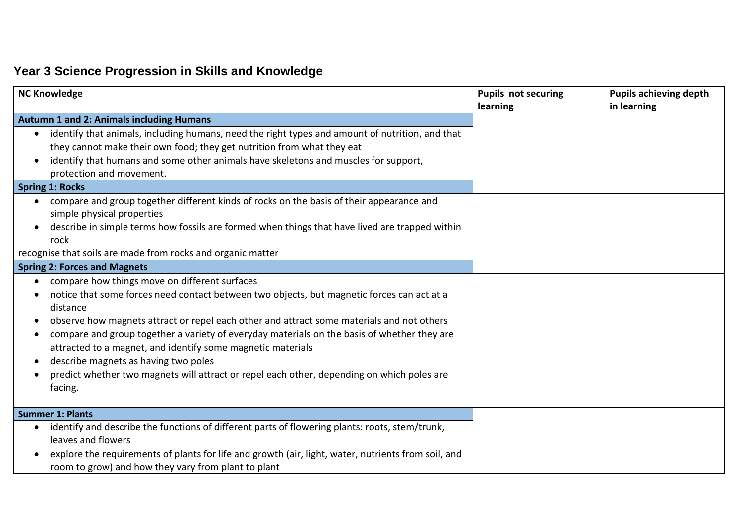# **Year 3 Science Progression in Skills and Knowledge**

| <b>NC Knowledge</b>                                                                                                                                                                                                                                                                                                                                                                                                                                                                                                                                                              | <b>Pupils not securing</b><br>learning | <b>Pupils achieving depth</b><br>in learning |
|----------------------------------------------------------------------------------------------------------------------------------------------------------------------------------------------------------------------------------------------------------------------------------------------------------------------------------------------------------------------------------------------------------------------------------------------------------------------------------------------------------------------------------------------------------------------------------|----------------------------------------|----------------------------------------------|
| <b>Autumn 1 and 2: Animals including Humans</b>                                                                                                                                                                                                                                                                                                                                                                                                                                                                                                                                  |                                        |                                              |
| identify that animals, including humans, need the right types and amount of nutrition, and that<br>$\bullet$<br>they cannot make their own food; they get nutrition from what they eat<br>identify that humans and some other animals have skeletons and muscles for support,<br>protection and movement.                                                                                                                                                                                                                                                                        |                                        |                                              |
| <b>Spring 1: Rocks</b>                                                                                                                                                                                                                                                                                                                                                                                                                                                                                                                                                           |                                        |                                              |
| compare and group together different kinds of rocks on the basis of their appearance and<br>$\bullet$<br>simple physical properties<br>describe in simple terms how fossils are formed when things that have lived are trapped within<br>rock                                                                                                                                                                                                                                                                                                                                    |                                        |                                              |
| recognise that soils are made from rocks and organic matter                                                                                                                                                                                                                                                                                                                                                                                                                                                                                                                      |                                        |                                              |
| <b>Spring 2: Forces and Magnets</b>                                                                                                                                                                                                                                                                                                                                                                                                                                                                                                                                              |                                        |                                              |
| compare how things move on different surfaces<br>$\bullet$<br>notice that some forces need contact between two objects, but magnetic forces can act at a<br>distance<br>observe how magnets attract or repel each other and attract some materials and not others<br>compare and group together a variety of everyday materials on the basis of whether they are<br>attracted to a magnet, and identify some magnetic materials<br>describe magnets as having two poles<br>predict whether two magnets will attract or repel each other, depending on which poles are<br>facing. |                                        |                                              |
| <b>Summer 1: Plants</b>                                                                                                                                                                                                                                                                                                                                                                                                                                                                                                                                                          |                                        |                                              |
| identify and describe the functions of different parts of flowering plants: roots, stem/trunk,<br>$\bullet$<br>leaves and flowers<br>explore the requirements of plants for life and growth (air, light, water, nutrients from soil, and<br>room to grow) and how they vary from plant to plant                                                                                                                                                                                                                                                                                  |                                        |                                              |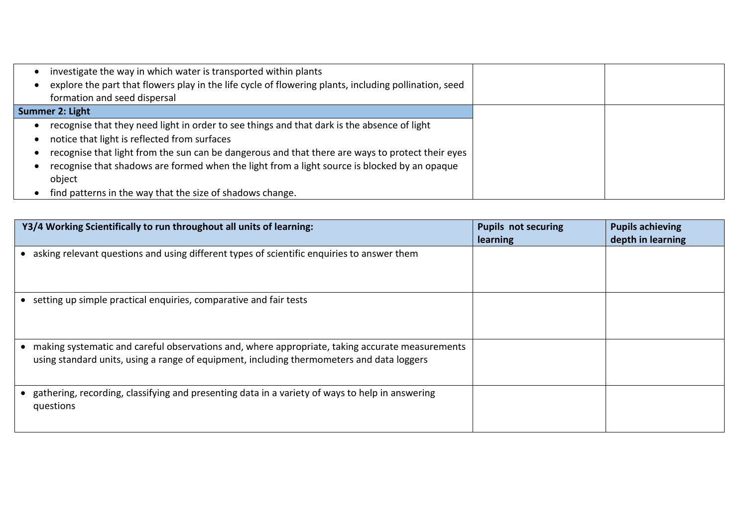| investigate the way in which water is transported within plants                                       |  |
|-------------------------------------------------------------------------------------------------------|--|
| explore the part that flowers play in the life cycle of flowering plants, including pollination, seed |  |
| formation and seed dispersal                                                                          |  |
| Summer 2: Light                                                                                       |  |
| recognise that they need light in order to see things and that dark is the absence of light           |  |
| notice that light is reflected from surfaces                                                          |  |
| recognise that light from the sun can be dangerous and that there are ways to protect their eyes      |  |
| recognise that shadows are formed when the light from a light source is blocked by an opaque          |  |
| object                                                                                                |  |
| find patterns in the way that the size of shadows change.                                             |  |

| Y3/4 Working Scientifically to run throughout all units of learning:                                                                                                                         | <b>Pupils not securing</b><br>learning | <b>Pupils achieving</b><br>depth in learning |
|----------------------------------------------------------------------------------------------------------------------------------------------------------------------------------------------|----------------------------------------|----------------------------------------------|
| asking relevant questions and using different types of scientific enquiries to answer them                                                                                                   |                                        |                                              |
| setting up simple practical enquiries, comparative and fair tests                                                                                                                            |                                        |                                              |
| making systematic and careful observations and, where appropriate, taking accurate measurements<br>using standard units, using a range of equipment, including thermometers and data loggers |                                        |                                              |
| gathering, recording, classifying and presenting data in a variety of ways to help in answering<br>questions                                                                                 |                                        |                                              |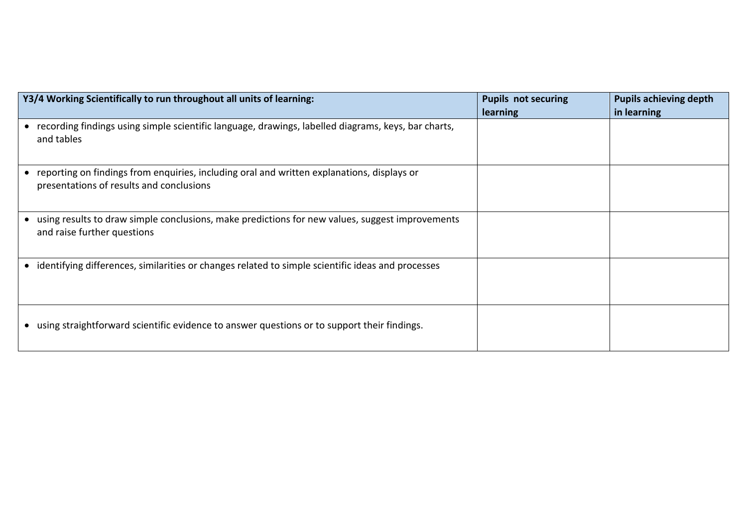| Y3/4 Working Scientifically to run throughout all units of learning:                                                                   | <b>Pupils not securing</b><br><b>learning</b> | <b>Pupils achieving depth</b><br>in learning |
|----------------------------------------------------------------------------------------------------------------------------------------|-----------------------------------------------|----------------------------------------------|
| recording findings using simple scientific language, drawings, labelled diagrams, keys, bar charts,<br>and tables                      |                                               |                                              |
| reporting on findings from enquiries, including oral and written explanations, displays or<br>presentations of results and conclusions |                                               |                                              |
| using results to draw simple conclusions, make predictions for new values, suggest improvements<br>and raise further questions         |                                               |                                              |
| identifying differences, similarities or changes related to simple scientific ideas and processes                                      |                                               |                                              |
| using straightforward scientific evidence to answer questions or to support their findings.                                            |                                               |                                              |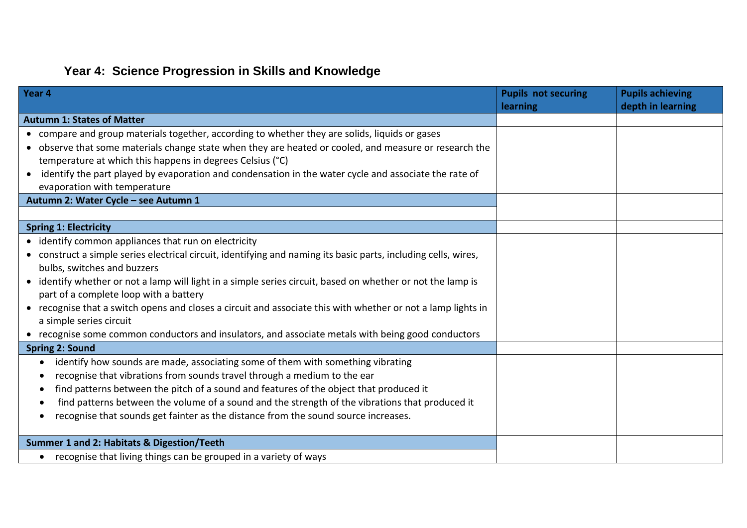## **Year 4: Science Progression in Skills and Knowledge**

| Year 4                                                                                                          | <b>Pupils not securing</b> | <b>Pupils achieving</b> |
|-----------------------------------------------------------------------------------------------------------------|----------------------------|-------------------------|
|                                                                                                                 | learning                   | depth in learning       |
| <b>Autumn 1: States of Matter</b>                                                                               |                            |                         |
| • compare and group materials together, according to whether they are solids, liquids or gases                  |                            |                         |
| • observe that some materials change state when they are heated or cooled, and measure or research the          |                            |                         |
| temperature at which this happens in degrees Celsius (°C)                                                       |                            |                         |
| identify the part played by evaporation and condensation in the water cycle and associate the rate of           |                            |                         |
| evaporation with temperature                                                                                    |                            |                         |
| Autumn 2: Water Cycle - see Autumn 1                                                                            |                            |                         |
|                                                                                                                 |                            |                         |
| <b>Spring 1: Electricity</b>                                                                                    |                            |                         |
| • identify common appliances that run on electricity                                                            |                            |                         |
| • construct a simple series electrical circuit, identifying and naming its basic parts, including cells, wires, |                            |                         |
| bulbs, switches and buzzers                                                                                     |                            |                         |
| • identify whether or not a lamp will light in a simple series circuit, based on whether or not the lamp is     |                            |                         |
| part of a complete loop with a battery                                                                          |                            |                         |
| • recognise that a switch opens and closes a circuit and associate this with whether or not a lamp lights in    |                            |                         |
| a simple series circuit                                                                                         |                            |                         |
| • recognise some common conductors and insulators, and associate metals with being good conductors              |                            |                         |
| <b>Spring 2: Sound</b>                                                                                          |                            |                         |
| identify how sounds are made, associating some of them with something vibrating<br>$\bullet$                    |                            |                         |
| recognise that vibrations from sounds travel through a medium to the ear                                        |                            |                         |
| find patterns between the pitch of a sound and features of the object that produced it                          |                            |                         |
| find patterns between the volume of a sound and the strength of the vibrations that produced it                 |                            |                         |
| recognise that sounds get fainter as the distance from the sound source increases.                              |                            |                         |
|                                                                                                                 |                            |                         |
| Summer 1 and 2: Habitats & Digestion/Teeth                                                                      |                            |                         |
| recognise that living things can be grouped in a variety of ways<br>$\bullet$                                   |                            |                         |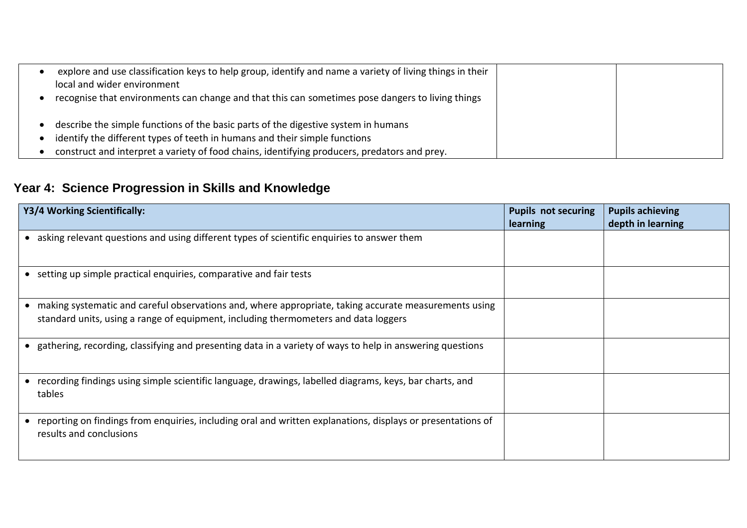| explore and use classification keys to help group, identify and name a variety of living things in their |  |
|----------------------------------------------------------------------------------------------------------|--|
| local and wider environment                                                                              |  |
| recognise that environments can change and that this can sometimes pose dangers to living things         |  |
|                                                                                                          |  |
| describe the simple functions of the basic parts of the digestive system in humans                       |  |
| identify the different types of teeth in humans and their simple functions                               |  |
| construct and interpret a variety of food chains, identifying producers, predators and prey.             |  |

# **Year 4: Science Progression in Skills and Knowledge**

| Y3/4 Working Scientifically:                                                                                                                                                                              | <b>Pupils not securing</b><br>learning | <b>Pupils achieving</b><br>depth in learning |
|-----------------------------------------------------------------------------------------------------------------------------------------------------------------------------------------------------------|----------------------------------------|----------------------------------------------|
| • asking relevant questions and using different types of scientific enquiries to answer them                                                                                                              |                                        |                                              |
| • setting up simple practical enquiries, comparative and fair tests                                                                                                                                       |                                        |                                              |
| making systematic and careful observations and, where appropriate, taking accurate measurements using<br>$\bullet$<br>standard units, using a range of equipment, including thermometers and data loggers |                                        |                                              |
| • gathering, recording, classifying and presenting data in a variety of ways to help in answering questions                                                                                               |                                        |                                              |
| recording findings using simple scientific language, drawings, labelled diagrams, keys, bar charts, and<br>tables                                                                                         |                                        |                                              |
| reporting on findings from enquiries, including oral and written explanations, displays or presentations of<br>results and conclusions                                                                    |                                        |                                              |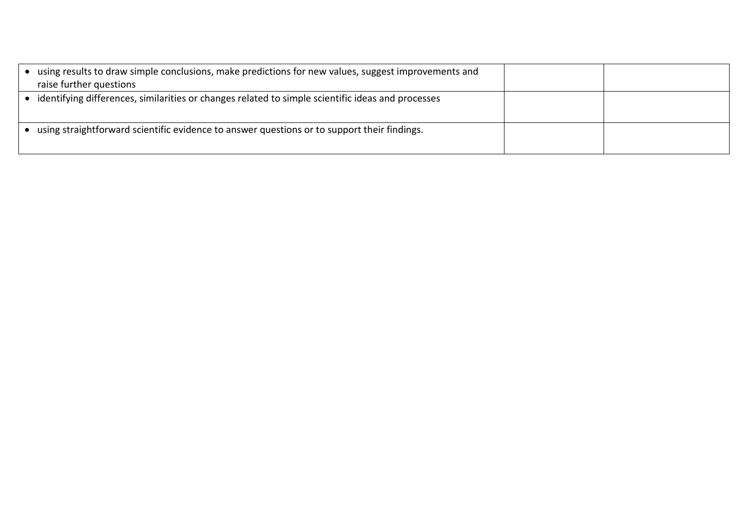| using results to draw simple conclusions, make predictions for new values, suggest improvements and<br>raise further questions |  |
|--------------------------------------------------------------------------------------------------------------------------------|--|
| identifying differences, similarities or changes related to simple scientific ideas and processes                              |  |
| using straightforward scientific evidence to answer questions or to support their findings.                                    |  |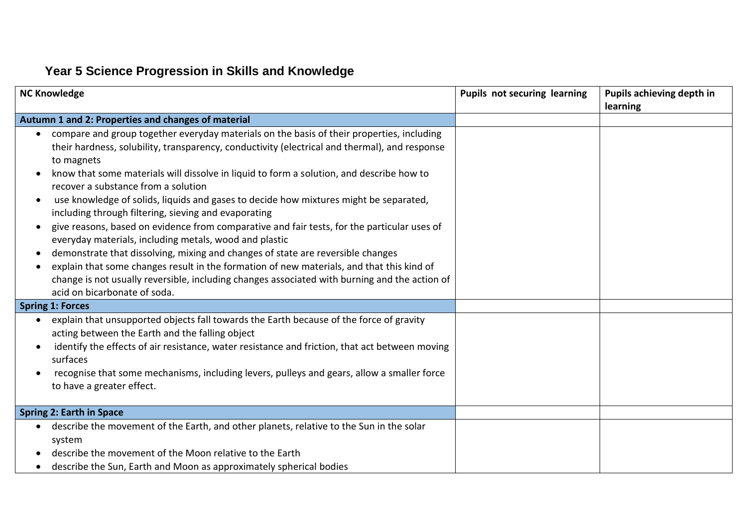## **Year 5 Science Progression in Skills and Knowledge**

| <b>NC Knowledge</b>                                                                                                                                                                                                                                                                                                                                                                                                                                                                                                                                                                                                                                                                                                                                                                                                                                                                                                                                                    | <b>Pupils not securing learning</b> | Pupils achieving depth in<br>learning |
|------------------------------------------------------------------------------------------------------------------------------------------------------------------------------------------------------------------------------------------------------------------------------------------------------------------------------------------------------------------------------------------------------------------------------------------------------------------------------------------------------------------------------------------------------------------------------------------------------------------------------------------------------------------------------------------------------------------------------------------------------------------------------------------------------------------------------------------------------------------------------------------------------------------------------------------------------------------------|-------------------------------------|---------------------------------------|
| Autumn 1 and 2: Properties and changes of material                                                                                                                                                                                                                                                                                                                                                                                                                                                                                                                                                                                                                                                                                                                                                                                                                                                                                                                     |                                     |                                       |
| compare and group together everyday materials on the basis of their properties, including<br>their hardness, solubility, transparency, conductivity (electrical and thermal), and response<br>to magnets<br>know that some materials will dissolve in liquid to form a solution, and describe how to<br>recover a substance from a solution<br>use knowledge of solids, liquids and gases to decide how mixtures might be separated,<br>including through filtering, sieving and evaporating<br>give reasons, based on evidence from comparative and fair tests, for the particular uses of<br>everyday materials, including metals, wood and plastic<br>demonstrate that dissolving, mixing and changes of state are reversible changes<br>explain that some changes result in the formation of new materials, and that this kind of<br>change is not usually reversible, including changes associated with burning and the action of<br>acid on bicarbonate of soda. |                                     |                                       |
| <b>Spring 1: Forces</b>                                                                                                                                                                                                                                                                                                                                                                                                                                                                                                                                                                                                                                                                                                                                                                                                                                                                                                                                                |                                     |                                       |
| explain that unsupported objects fall towards the Earth because of the force of gravity<br>$\bullet$<br>acting between the Earth and the falling object<br>identify the effects of air resistance, water resistance and friction, that act between moving<br>surfaces<br>recognise that some mechanisms, including levers, pulleys and gears, allow a smaller force<br>to have a greater effect.                                                                                                                                                                                                                                                                                                                                                                                                                                                                                                                                                                       |                                     |                                       |
| <b>Spring 2: Earth in Space</b>                                                                                                                                                                                                                                                                                                                                                                                                                                                                                                                                                                                                                                                                                                                                                                                                                                                                                                                                        |                                     |                                       |
| describe the movement of the Earth, and other planets, relative to the Sun in the solar<br>system<br>describe the movement of the Moon relative to the Earth<br>describe the Sun, Earth and Moon as approximately spherical bodies                                                                                                                                                                                                                                                                                                                                                                                                                                                                                                                                                                                                                                                                                                                                     |                                     |                                       |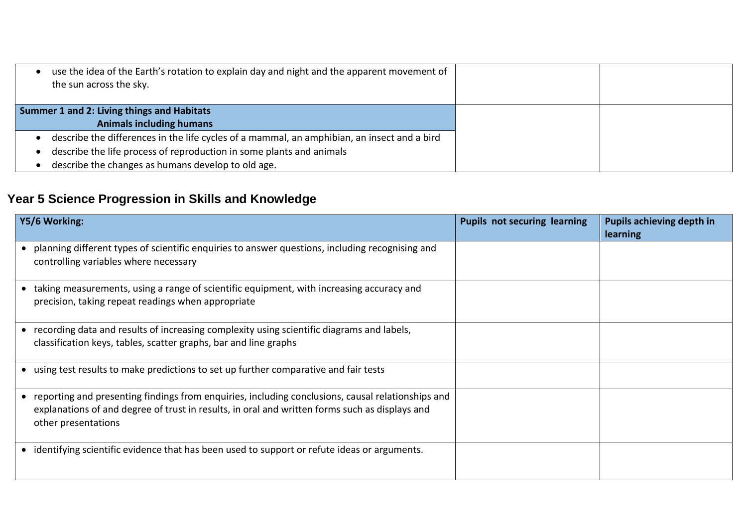| use the idea of the Earth's rotation to explain day and night and the apparent movement of<br>the sun across the sky. |  |
|-----------------------------------------------------------------------------------------------------------------------|--|
| <b>Summer 1 and 2: Living things and Habitats</b>                                                                     |  |
| <b>Animals including humans</b>                                                                                       |  |
| describe the differences in the life cycles of a mammal, an amphibian, an insect and a bird                           |  |
| describe the life process of reproduction in some plants and animals                                                  |  |
| describe the changes as humans develop to old age.                                                                    |  |

# **Year 5 Science Progression in Skills and Knowledge**

| Y5/6 Working:                                                                                                                                                                                                                | <b>Pupils not securing learning</b> | <b>Pupils achieving depth in</b><br>learning |
|------------------------------------------------------------------------------------------------------------------------------------------------------------------------------------------------------------------------------|-------------------------------------|----------------------------------------------|
| • planning different types of scientific enquiries to answer questions, including recognising and<br>controlling variables where necessary                                                                                   |                                     |                                              |
| • taking measurements, using a range of scientific equipment, with increasing accuracy and<br>precision, taking repeat readings when appropriate                                                                             |                                     |                                              |
| • recording data and results of increasing complexity using scientific diagrams and labels,<br>classification keys, tables, scatter graphs, bar and line graphs                                                              |                                     |                                              |
| • using test results to make predictions to set up further comparative and fair tests                                                                                                                                        |                                     |                                              |
| • reporting and presenting findings from enquiries, including conclusions, causal relationships and<br>explanations of and degree of trust in results, in oral and written forms such as displays and<br>other presentations |                                     |                                              |
| • identifying scientific evidence that has been used to support or refute ideas or arguments.                                                                                                                                |                                     |                                              |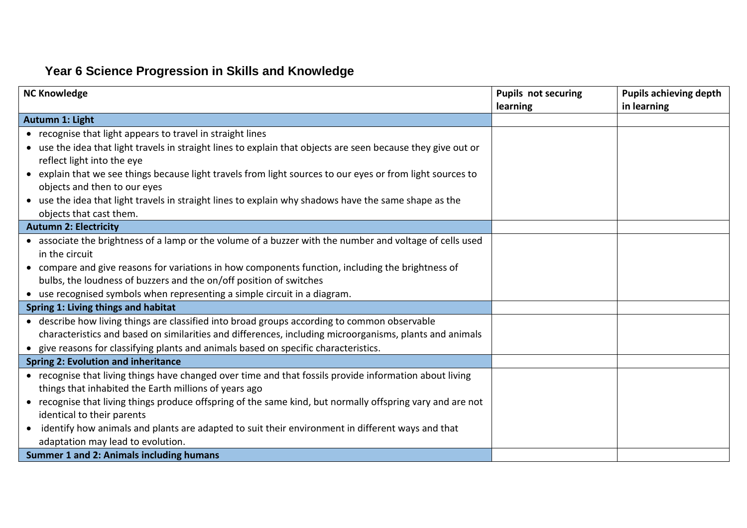# **Year 6 Science Progression in Skills and Knowledge**

| <b>NC Knowledge</b>                                                                                           | <b>Pupils not securing</b> | <b>Pupils achieving depth</b> |
|---------------------------------------------------------------------------------------------------------------|----------------------------|-------------------------------|
|                                                                                                               | learning                   | in learning                   |
| Autumn 1: Light                                                                                               |                            |                               |
| • recognise that light appears to travel in straight lines                                                    |                            |                               |
| • use the idea that light travels in straight lines to explain that objects are seen because they give out or |                            |                               |
| reflect light into the eye                                                                                    |                            |                               |
| • explain that we see things because light travels from light sources to our eyes or from light sources to    |                            |                               |
| objects and then to our eyes                                                                                  |                            |                               |
| • use the idea that light travels in straight lines to explain why shadows have the same shape as the         |                            |                               |
| objects that cast them.                                                                                       |                            |                               |
| <b>Autumn 2: Electricity</b>                                                                                  |                            |                               |
| • associate the brightness of a lamp or the volume of a buzzer with the number and voltage of cells used      |                            |                               |
| in the circuit                                                                                                |                            |                               |
| • compare and give reasons for variations in how components function, including the brightness of             |                            |                               |
| bulbs, the loudness of buzzers and the on/off position of switches                                            |                            |                               |
| • use recognised symbols when representing a simple circuit in a diagram.                                     |                            |                               |
| Spring 1: Living things and habitat                                                                           |                            |                               |
| • describe how living things are classified into broad groups according to common observable                  |                            |                               |
| characteristics and based on similarities and differences, including microorganisms, plants and animals       |                            |                               |
| • give reasons for classifying plants and animals based on specific characteristics.                          |                            |                               |
| <b>Spring 2: Evolution and inheritance</b>                                                                    |                            |                               |
| • recognise that living things have changed over time and that fossils provide information about living       |                            |                               |
| things that inhabited the Earth millions of years ago                                                         |                            |                               |
| • recognise that living things produce offspring of the same kind, but normally offspring vary and are not    |                            |                               |
| identical to their parents                                                                                    |                            |                               |
| • identify how animals and plants are adapted to suit their environment in different ways and that            |                            |                               |
| adaptation may lead to evolution.                                                                             |                            |                               |
| <b>Summer 1 and 2: Animals including humans</b>                                                               |                            |                               |